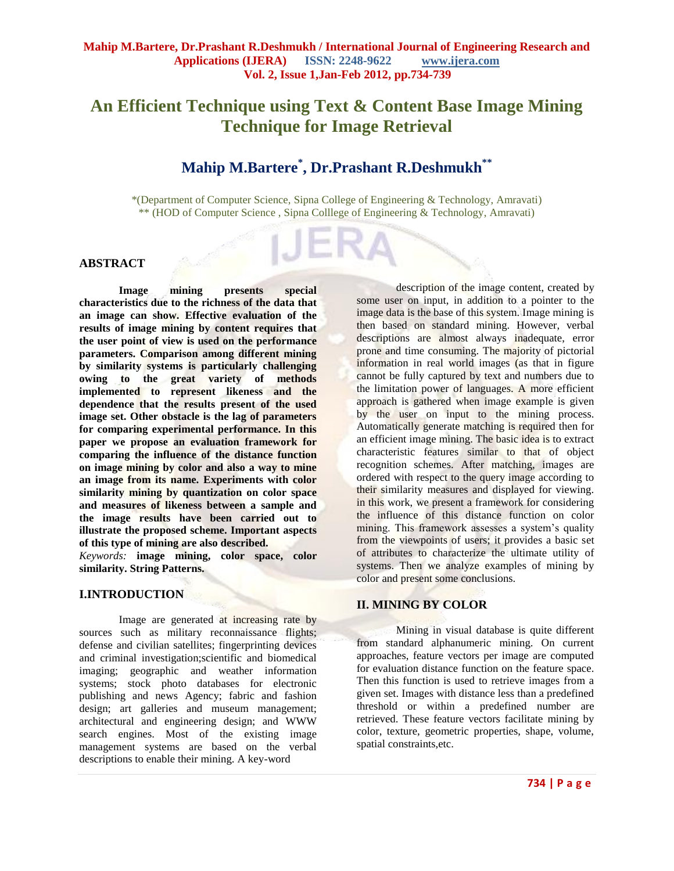# **An Efficient Technique using Text & Content Base Image Mining Technique for Image Retrieval**

# **Mahip M.Bartere\* , Dr.Prashant R.Deshmukh\*\***

\*(Department of Computer Science, Sipna College of Engineering & Technology, Amravati) \*\* (HOD of Computer Science , Sipna Colllege of Engineering & Technology, Amravati)

#### **ABSTRACT**

**Image mining presents special characteristics due to the richness of the data that an image can show. Effective evaluation of the results of image mining by content requires that the user point of view is used on the performance parameters. Comparison among different mining by similarity systems is particularly challenging owing to the great variety of methods implemented to represent likeness and the dependence that the results present of the used image set. Other obstacle is the lag of parameters for comparing experimental performance. In this paper we propose an evaluation framework for comparing the influence of the distance function on image mining by color and also a way to mine an image from its name. Experiments with color similarity mining by quantization on color space and measures of likeness between a sample and the image results have been carried out to illustrate the proposed scheme. Important aspects of this type of mining are also described.**

*Keywords:* **image mining, color space, color similarity. String Patterns.**

#### **I.INTRODUCTION**

Image are generated at increasing rate by sources such as military reconnaissance flights; defense and civilian satellites; fingerprinting devices and criminal investigation;scientific and biomedical imaging; geographic and weather information systems; stock photo databases for electronic publishing and news Agency; fabric and fashion design; art galleries and museum management; architectural and engineering design; and WWW search engines. Most of the existing image management systems are based on the verbal descriptions to enable their mining. A key-word

description of the image content, created by some user on input, in addition to a pointer to the image data is the base of this system. Image mining is then based on standard mining. However, verbal descriptions are almost always inadequate, error prone and time consuming. The majority of pictorial information in real world images (as that in figure cannot be fully captured by text and numbers due to the limitation power of languages. A more efficient approach is gathered when image example is given by the user on input to the mining process. Automatically generate matching is required then for an efficient image mining. The basic idea is to extract characteristic features similar to that of object recognition schemes. After matching, images are ordered with respect to the query image according to their similarity measures and displayed for viewing. in this work, we present a framework for considering the influence of this distance function on color mining. This framework assesses a system's quality from the viewpoints of users; it provides a basic set of attributes to characterize the ultimate utility of systems. Then we analyze examples of mining by color and present some conclusions.

# **II. MINING BY COLOR**

Mining in visual database is quite different from standard alphanumeric mining. On current approaches, feature vectors per image are computed for evaluation distance function on the feature space. Then this function is used to retrieve images from a given set. Images with distance less than a predefined threshold or within a predefined number are retrieved. These feature vectors facilitate mining by color, texture, geometric properties, shape, volume, spatial constraints,etc.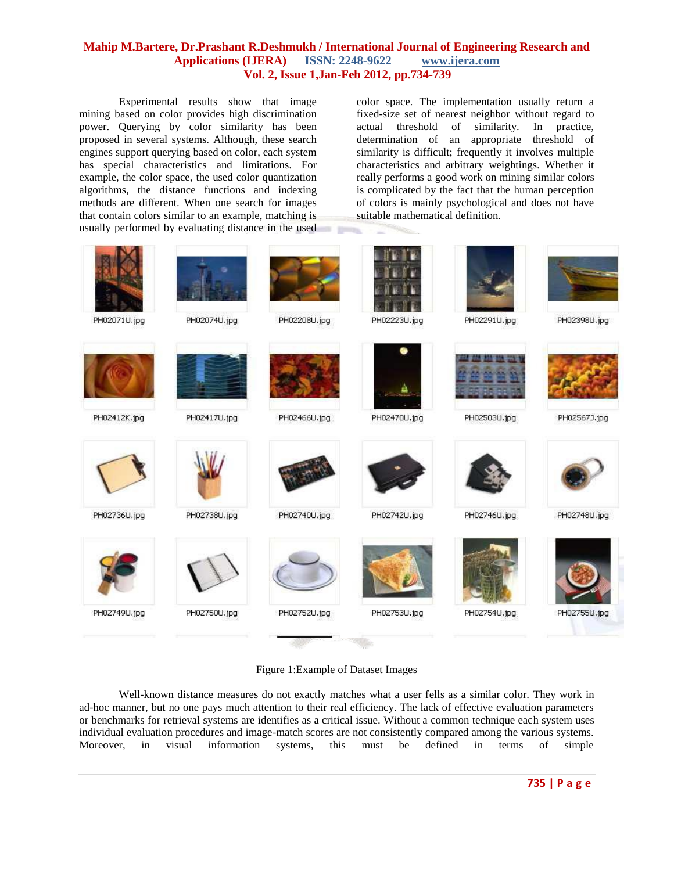Experimental results show that image mining based on color provides high discrimination power. Querying by color similarity has been proposed in several systems. Although, these search engines support querying based on color, each system has special characteristics and limitations. For example, the color space, the used color quantization algorithms, the distance functions and indexing methods are different. When one search for images that contain colors similar to an example, matching is usually performed by evaluating distance in the used or to

color space. The implementation usually return a fixed-size set of nearest neighbor without regard to actual threshold of similarity. In practice, determination of an appropriate threshold of similarity is difficult; frequently it involves multiple characteristics and arbitrary weightings. Whether it really performs a good work on mining similar colors is complicated by the fact that the human perception of colors is mainly psychological and does not have suitable mathematical definition.



#### Figure 1:Example of Dataset Images

Well-known distance measures do not exactly matches what a user fells as a similar color. They work in ad-hoc manner, but no one pays much attention to their real efficiency. The lack of effective evaluation parameters or benchmarks for retrieval systems are identifies as a critical issue. Without a common technique each system uses individual evaluation procedures and image-match scores are not consistently compared among the various systems. Moreover, in visual information systems, this must be defined in terms of simple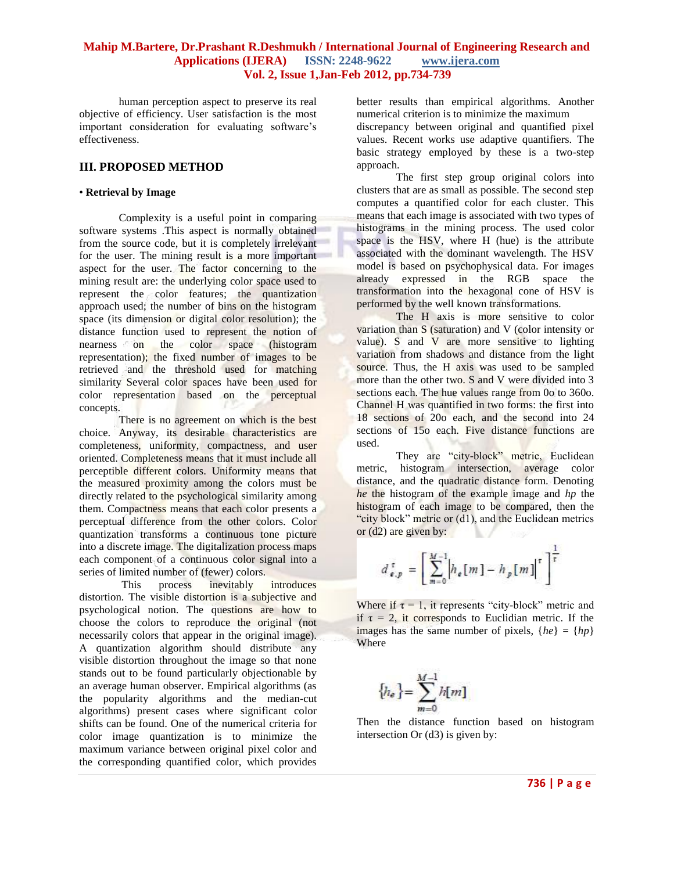human perception aspect to preserve its real objective of efficiency. User satisfaction is the most important consideration for evaluating software's effectiveness.

### **III. PROPOSED METHOD**

#### • **Retrieval by Image**

Complexity is a useful point in comparing software systems .This aspect is normally obtained from the source code, but it is completely irrelevant for the user. The mining result is a more important aspect for the user. The factor concerning to the mining result are: the underlying color space used to represent the color features; the quantization approach used; the number of bins on the histogram space (its dimension or digital color resolution); the distance function used to represent the notion of nearness on the color space (histogram representation); the fixed number of images to be retrieved and the threshold used for matching similarity Several color spaces have been used for color representation based on the perceptual concepts.

There is no agreement on which is the best choice. Anyway, its desirable characteristics are completeness, uniformity, compactness, and user oriented. Completeness means that it must include all perceptible different colors. Uniformity means that the measured proximity among the colors must be directly related to the psychological similarity among them. Compactness means that each color presents a perceptual difference from the other colors. Color quantization transforms a continuous tone picture into a discrete image. The digitalization process maps each component of a continuous color signal into a series of limited number of (fewer) colors.

This process inevitably introduces distortion. The visible distortion is a subjective and psychological notion. The questions are how to choose the colors to reproduce the original (not necessarily colors that appear in the original image). A quantization algorithm should distribute any visible distortion throughout the image so that none stands out to be found particularly objectionable by an average human observer. Empirical algorithms (as the popularity algorithms and the median-cut algorithms) present cases where significant color shifts can be found. One of the numerical criteria for color image quantization is to minimize the maximum variance between original pixel color and the corresponding quantified color, which provides

better results than empirical algorithms. Another numerical criterion is to minimize the maximum discrepancy between original and quantified pixel values. Recent works use adaptive quantifiers. The basic strategy employed by these is a two-step

approach. The first step group original colors into clusters that are as small as possible. The second step computes a quantified color for each cluster. This means that each image is associated with two types of histograms in the mining process. The used color space is the HSV, where H (hue) is the attribute associated with the dominant wavelength. The HSV model is based on psychophysical data. For images already expressed in the RGB space the transformation into the hexagonal cone of HSV is performed by the well known transformations.

The H axis is more sensitive to color variation than S (saturation) and V (color intensity or value). S and V are more sensitive to lighting variation from shadows and distance from the light source. Thus, the H axis was used to be sampled more than the other two. S and V were divided into 3 sections each. The hue values range from 0o to 360o. Channel H was quantified in two forms: the first into 18 sections of 20o each, and the second into 24 sections of 15o each. Five distance functions are used.

They are "city-block" metric, Euclidean metric, histogram intersection, average color distance, and the quadratic distance form. Denoting *he* the histogram of the example image and *hp* the histogram of each image to be compared, then the "city block" metric or (d1), and the Euclidean metrics or (d2) are given by: N. V.

$$
d_{e,p}^{\tau} = \left[ \sum_{m=0}^{M-1} \left| h_e[m] - h_p[m] \right|^{\tau} \right]^{\frac{1}{\tau}}
$$

Where if  $\tau = 1$ , it represents "city-block" metric and if  $\tau = 2$ , it corresponds to Euclidian metric. If the images has the same number of pixels,  ${he} = {hp}$ Where

$$
\left\{h_e\right\} = \sum_{m=0}^{M-1} h[m]
$$

Then the distance function based on histogram intersection Or (d3) is given by: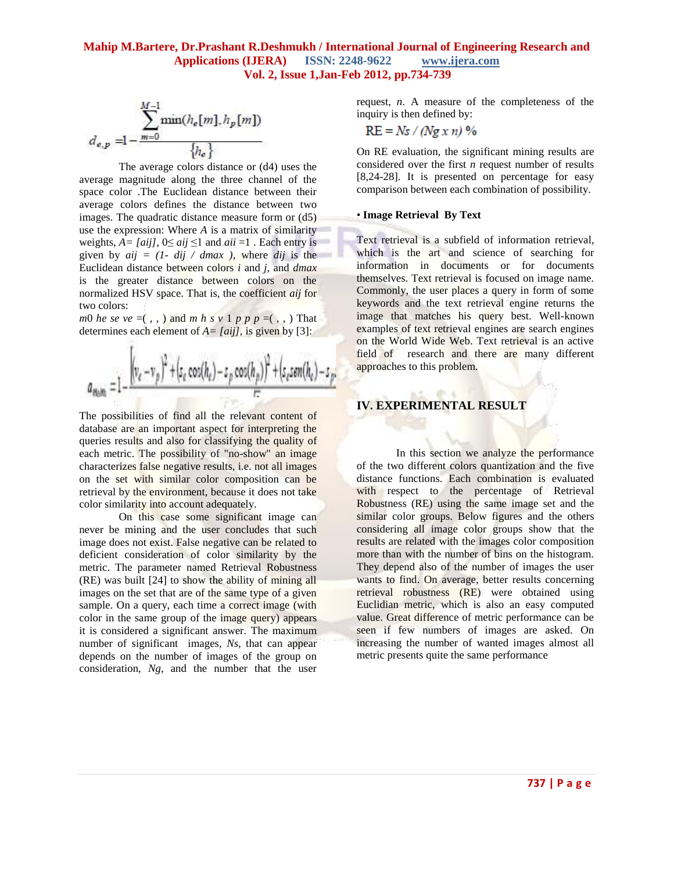$$
d_{e,p} = 1 - \frac{\sum_{m=0}^{M-1} \min(h_e[m], h_p[m])}{h_e}
$$

The average colors distance or (d4) uses the average magnitude along the three channel of the space color .The Euclidean distance between their average colors defines the distance between two images. The quadratic distance measure form or (d5) use the expression: Where *A* is a matrix of similarity weights,  $A = \{aij\}$ ,  $0 \leq aij \leq 1$  and  $aii = 1$ . Each entry is given by  $aij = (1 - dij / dmax)$ , where *dij* is the Euclidean distance between colors *i* and *j*, and *dmax*  is the greater distance between colors on the normalized HSV space. That is, the coefficient *aij* for two colors:

*m*0 *he se*  $ve = ($ , , ) and *m h s*  $v$  1 *p*  $p$   $p = ($ , , ) That determines each element of  $A = \{aij\}$ , is given by [3]:

œ

$$
a_{\text{main}} = 1 - \frac{\left[ (v_e - v_p)^2 + (s_e \cos(h_e) - s_p \cos(h_p))^2 + (s_e \sin(h_e) - s_p \cos(h_p))^2 \right]}{r^2}
$$

The possibilities of find all the relevant content of database are an important aspect for interpreting the queries results and also for classifying the quality of each metric. The possibility of "no-show" an image characterizes false negative results, i.e. not all images on the set with similar color composition can be retrieval by the environment, because it does not take color similarity into account adequately.

On this case some significant image can never be mining and the user concludes that such image does not exist. False negative can be related to deficient consideration of color similarity by the metric. The parameter named Retrieval Robustness (RE) was built [24] to show the ability of mining all images on the set that are of the same type of a given sample. On a query, each time a correct image (with color in the same group of the image query) appears it is considered a significant answer. The maximum number of significant images, *Ns*, that can appear depends on the number of images of the group on consideration, *Ng*, and the number that the user

request, *n*. A measure of the completeness of the inquiry is then defined by:

$$
RE = Ns / (Ng x n) %
$$

On RE evaluation, the significant mining results are considered over the first *n* request number of results [8,24-28]. It is presented on percentage for easy comparison between each combination of possibility.

#### • **Image Retrieval By Text**

Text retrieval is a subfield of information retrieval, which is the art and science of searching for information in documents or for documents themselves. Text retrieval is focused on image name. Commonly, the user places a query in form of some keywords and the text retrieval engine returns the image that matches his query best. Well-known examples of text retrieval engines are search engines on the World Wide Web. Text retrieval is an active field of research and there are many different approaches to this problem.

# **IV. EXPERIMENTAL RESULT**

In this section we analyze the performance of the two different colors quantization and the five distance functions. Each combination is evaluated with respect to the percentage of Retrieval Robustness (RE) using the same image set and the similar color groups. Below figures and the others considering all image color groups show that the results are related with the images color composition more than with the number of bins on the histogram. They depend also of the number of images the user wants to find. On average, better results concerning retrieval robustness (RE) were obtained using Euclidian metric, which is also an easy computed value. Great difference of metric performance can be seen if few numbers of images are asked. On increasing the number of wanted images almost all metric presents quite the same performance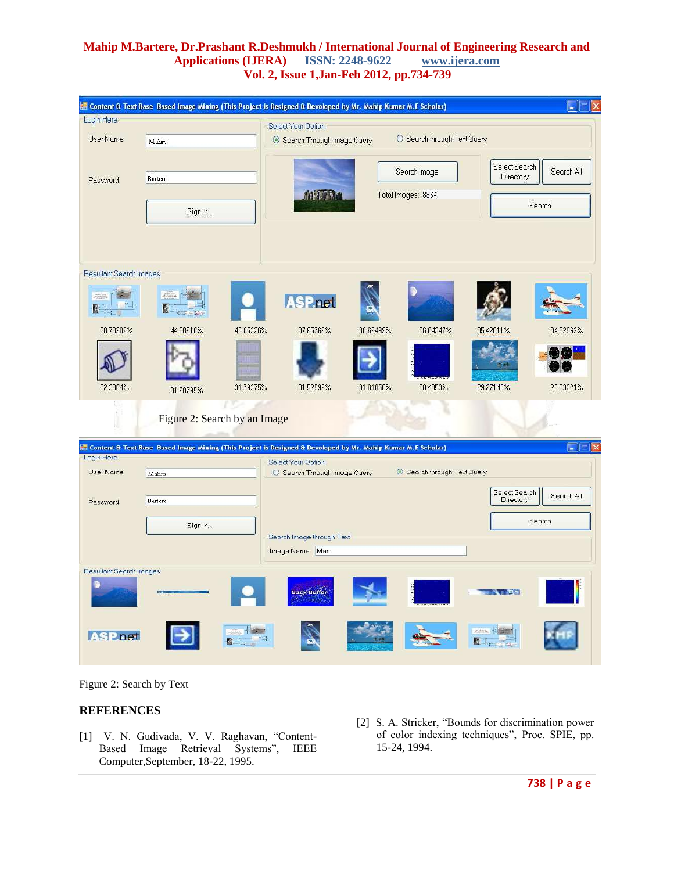|                                | Content & Text Base Based Image Mining (This Project is Designed & Devoloped by Mr. Mahip Kumar M.E Scholar) |           |                                                           |           |                           |                            | ÷.             |
|--------------------------------|--------------------------------------------------------------------------------------------------------------|-----------|-----------------------------------------------------------|-----------|---------------------------|----------------------------|----------------|
| Login Here                     |                                                                                                              |           | Select Your Option                                        |           |                           |                            |                |
| User Name                      | Mahip                                                                                                        |           | O Search through Text Query<br>Search Through Image Query |           |                           |                            |                |
| Password                       | Bartere                                                                                                      |           |                                                           |           | Search Image              | Select Search<br>Directory | Search All     |
|                                | Sign in                                                                                                      |           | <b>MATTA</b><br>Total Images: 8864                        |           |                           | Search                     |                |
|                                |                                                                                                              |           |                                                           |           |                           |                            |                |
| Resultant Search Images        |                                                                                                              |           |                                                           |           |                           |                            |                |
|                                |                                                                                                              |           | <b>ASP.net</b>                                            |           |                           |                            |                |
| 50.70282%                      | 44.58916%                                                                                                    | 43.05326% | 37.65766%                                                 | 36.66499% | 36.04347%                 | 35.42611%                  | 34.52962%      |
|                                |                                                                                                              |           |                                                           |           |                           |                            |                |
| 32.3064%                       | 31.98795%                                                                                                    | 31.79375% | 31.52599%                                                 | 31.01056% | 30.4353%                  | 29.27145%                  | 28.53221%      |
|                                | Figure 2: Search by an Image                                                                                 |           |                                                           |           |                           |                            |                |
|                                | Content & Text Base Based Image Mining (This Project is Designed & Devoloped by Mr. Mahip Kumar M.E Scholar) |           |                                                           |           |                           |                            | $\blacksquare$ |
| Login Here<br>User Name        | Mahip                                                                                                        |           | Select Your Option<br>O Search Through Image Query        |           | Search through Text Query |                            |                |
|                                |                                                                                                              |           |                                                           |           |                           |                            |                |
| Password                       | Bartere                                                                                                      |           |                                                           |           |                           | Select Search<br>Directory | Search All     |
|                                | Sign in                                                                                                      |           |                                                           |           |                           |                            | Search         |
|                                |                                                                                                              |           | Search Image through Text<br>Image Name Man               |           |                           |                            |                |
| <b>Resultant Search Images</b> |                                                                                                              |           |                                                           |           |                           |                            |                |
|                                |                                                                                                              |           | <b>Back Buffer</b>                                        |           |                           | $-7 - 1$                   |                |
| <b>SP</b> net                  |                                                                                                              |           |                                                           |           |                           |                            |                |

Figure 2: Search by Text

# **REFERENCES**

- [1] V. N. Gudivada, V. V. Raghavan, "Content-Based Image Retrieval Systems", IEEE Computer,September, 18-22, 1995.
- [2] S. A. Stricker, "Bounds for discrimination power of color indexing techniques", Proc. SPIE, pp. 15-24, 1994.